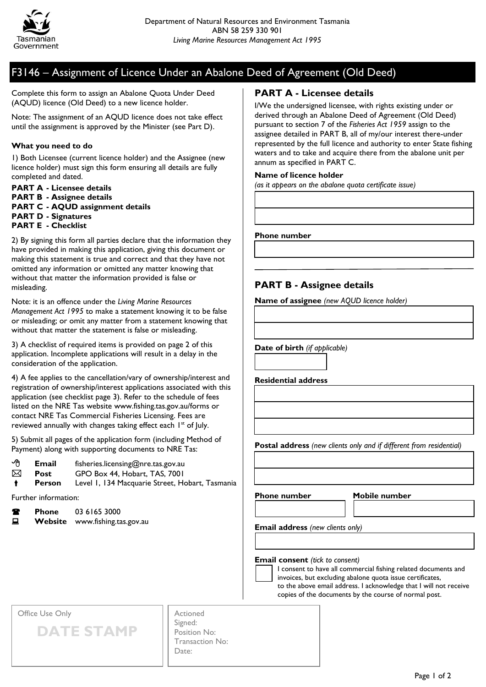

# F3146 – Assignment of Licence Under an Abalone Deed of Agreement (Old Deed)

Complete this form to assign an Abalone Quota Under Deed (AQUD) licence (Old Deed) to a new licence holder.

Note: The assignment of an AQUD licence does not take effect until the assignment is approved by the Minister (see Part D).

#### **What you need to do**

1) Both Licensee (current licence holder) and the Assignee (new licence holder) must sign this form ensuring all details are fully completed and dated.

**PART A - Licensee details PART B - Assignee details PART C - AQUD assignment details PART D - Signatures PART E - Checklist**

2) By signing this form all parties declare that the information they have provided in making this application, giving this document or making this statement is true and correct and that they have not omitted any information or omitted any matter knowing that without that matter the information provided is false or misleading.

Note: it is an offence under the *Living Marine Resources Management Act 1995* to make a statement knowing it to be false or misleading; or omit any matter from a statement knowing that without that matter the statement is false or misleading.

3) A checklist of required items is provided on page 2 of this application. Incomplete applications will result in a delay in the consideration of the application.

4) A fee applies to the cancellation/vary of ownership/interest and registration of ownership/interest applications associated with this application (see checklist page 3). Refer to the schedule of fees listed on the NRE Tas website www.fishing.tas.gov.au/forms or contact NRE Tas Commercial Fisheries Licensing. Fees are reviewed annually with changes taking effect each 1<sup>st</sup> of July.

5) Submit all pages of the application form (including Method of Payment) along with supporting documents to NRE Tas:

| ∽∩ | Email         | fisheries.licensing@nre.tas.gov.au              |
|----|---------------|-------------------------------------------------|
| ⊠  | Post          | GPO Box 44, Hobart, TAS, 7001                   |
|    | <b>Person</b> | Level 1, 134 Macquarie Street, Hobart, Tasmania |

Further information:

**Phone** 03 6165 3000

**E** Website www.fishing.tas.gov.au

### **PART A - Licensee details**

I/We the undersigned licensee, with rights existing under or derived through an Abalone Deed of Agreement (Old Deed) pursuant to section 7 of the *Fisheries Act 1959* assign to the assignee detailed in PART B, all of my/our interest there-under represented by the full licence and authority to enter State fishing waters and to take and acquire there from the abalone unit per annum as specified in PART C.

#### **Name of licence holder**

*(as it appears on the abalone quota certificate issue)*

**Phone number**

## **PART B - Assignee details**

**Name of assignee** *(new AQUD licence holder)*

**Date of birth** *(if applicable)*

**Residential address**

**Postal address** *(new clients only and if different from residential)*

**Phone number Mobile number**

**Email address** *(new clients only)*

**Email consent** *(tick to consent)*

I consent to have all commercial fishing related documents and invoices, but excluding abalone quota issue certificates, to the above email address. I acknowledge that I will not receive copies of the documents by the course of normal post.

Office Use Only

**DATE STAMP**

| Signed:         |
|-----------------|
| Position No:    |
| Transaction No: |
| Date:           |
|                 |

Actioned